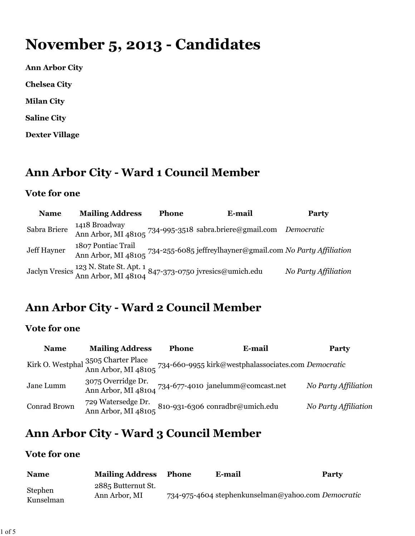# **November 5, 2013 - Candidates**

**Ann Arbor City**

**Chelsea City**

**Milan City**

**Saline City**

**Dexter Village**

# **Ann Arbor City - Ward 1 Council Member**

#### **Vote for one**

| <b>Name</b>  | <b>Mailing Address</b>                                                                                               | <b>Phone</b> | E-mail                                                                                                                                                                                         | <b>Party</b>         |
|--------------|----------------------------------------------------------------------------------------------------------------------|--------------|------------------------------------------------------------------------------------------------------------------------------------------------------------------------------------------------|----------------------|
| Sabra Briere | 1418 Broadway                                                                                                        |              | Ann Arbor, MI 48105 734-995-3518 sabra.briere@gmail.com Democratic                                                                                                                             |                      |
| Jeff Hayner  |                                                                                                                      |              | 1807 Pontiac Trail<br>Ann Arbor, MI 48105 734-255-6085 jeffreyl<br>hayner@gmail.com No Party Affiliation<br>Ann Arbor, MI 48105 734-255-6085 jef<br>freyllayner@gmail.com No Party Affiliation |                      |
|              | Jaclyn Vresics <sup>12</sup> 3 N. State St. Apt. 1<br>Ann Arbor, MI 48104 <sup>847-373-0750</sup> jvresics@umich.edu |              |                                                                                                                                                                                                | No Party Affiliation |

### **Ann Arbor City - Ward 2 Council Member**

### **Vote for one**

| <b>Name</b>  | <b>Mailing Address</b>                                                                                 | <b>Phone</b> | E-mail                                                                                                         | Party                |
|--------------|--------------------------------------------------------------------------------------------------------|--------------|----------------------------------------------------------------------------------------------------------------|----------------------|
|              |                                                                                                        |              | Kirk O. Westphal 3505 Charter Place<br>Ann Arbor, MI 48105 734-660-9955 kirk@westphalassociates.com Democratic |                      |
| Jane Lumm    | 3075 Overridge Dr.                                                                                     |              | Ann Arbor, MI 48104 734-677-4010 janelumm@comcast.net                                                          | No Party Affiliation |
| Conrad Brown | 729 Watersedge Dr. 810-931-6306 conradbr@umich.edu Ann Arbor, MI 48105 810-931-6306 conradbr@umich.edu |              |                                                                                                                | No Party Affiliation |

# **Ann Arbor City - Ward 3 Council Member**

### **Vote for one**

| <b>Name</b>          | <b>Mailing Address</b>              | <b>Phone</b> | E-mail | Party                                              |
|----------------------|-------------------------------------|--------------|--------|----------------------------------------------------|
| Stephen<br>Kunselman | 2885 Butternut St.<br>Ann Arbor, MI |              |        | 734-975-4604 stephenkunselman@yahoo.com Democratic |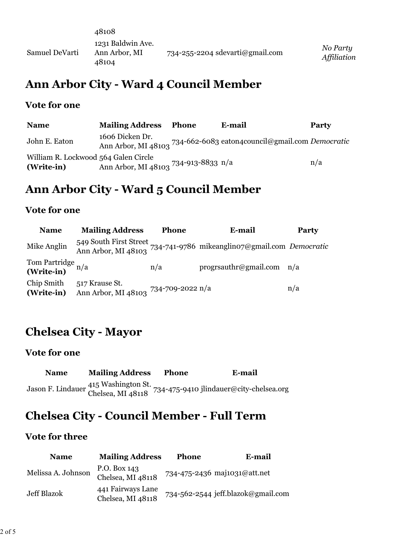|                | 48108                                       |                                       |                         |
|----------------|---------------------------------------------|---------------------------------------|-------------------------|
| Samuel DeVarti | 1231 Baldwin Ave.<br>Ann Arbor, MI<br>48104 | $734 - 255 - 2204$ sdevarti@gmail.com | No Party<br>Affiliation |

### **Ann Arbor City - Ward 4 Council Member**

#### **Vote for one**

| <b>Name</b>                                        | <b>Mailing Address</b>               | <b>Phone</b> | E-mail                                                              | <b>Party</b> |
|----------------------------------------------------|--------------------------------------|--------------|---------------------------------------------------------------------|--------------|
| John E. Eaton                                      | 1606 Dicken Dr.                      |              | Ann Arbor, MI 48103 734-662-6083 eaton4council@gmail.com Democratic |              |
| William R. Lockwood 564 Galen Circle<br>(Write-in) | Ann Arbor, MI 48103 734-913-8833 n/a |              |                                                                     | n/a          |

## **Ann Arbor City - Ward 5 Council Member**

### **Vote for one**

| <b>Name</b>                     | <b>Mailing Address</b>                                 | <b>Phone</b> | E-mail                                                                                       | Party |
|---------------------------------|--------------------------------------------------------|--------------|----------------------------------------------------------------------------------------------|-------|
| Mike Anglin                     |                                                        |              | 549 South First Street<br>Ann Arbor, MI 48103 734-741-9786 mikeanglino7@gmail.com Democratic |       |
| Tom Partridge n/a<br>(Write-in) |                                                        | n/a          | progrsauthr@gmail.com $n/a$                                                                  |       |
| Chip Smith<br>(Write-in)        | 517 Krause St.<br>Ann Arbor, MI 48103 734-709-2022 n/a |              |                                                                                              | n/a   |

# **Chelsea City - Mayor**

#### **Vote for one**

| <b>Name</b> | <b>Mailing Address</b> | <b>Phone</b> | E-mail                                                                                            |
|-------------|------------------------|--------------|---------------------------------------------------------------------------------------------------|
|             |                        |              | Jason F. Lindauer 415 Washington St.<br>Chelsea, MI 48118 734-475-9410 jlindauer@city-chelsea.org |

# **Chelsea City - Council Member - Full Term**

#### **Vote for three**

| <b>Name</b>        | <b>Mailing Address</b>                 | <b>Phone</b> | E-mail                             |
|--------------------|----------------------------------------|--------------|------------------------------------|
| Melissa A. Johnson | P.O. Box 143<br>Chelsea, MI 48118      |              | 734-475-2436 maj1031@att.net       |
| Jeff Blazok        | 441 Fairways Lane<br>Chelsea, MI 48118 |              | 734-562-2544 jeff.blazok@gmail.com |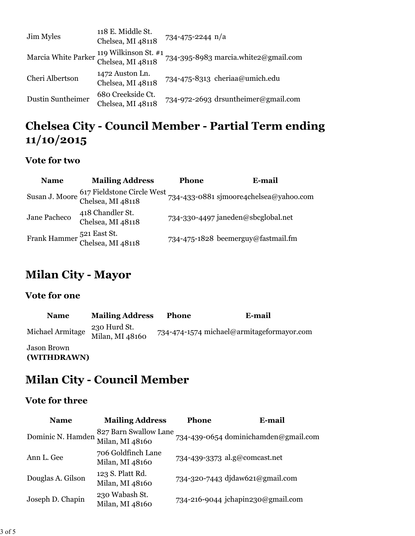| Jim Myles                                                     | 118 E. Middle St.<br>Chelsea, MI 48118 | 734-475-2244 n/a                     |
|---------------------------------------------------------------|----------------------------------------|--------------------------------------|
| Marcia White Parker 119 Wilkinson St. #1<br>Chelsea, MI 48118 |                                        | 734-395-8983 marcia.white2@gmail.com |
| Cheri Albertson                                               | 1472 Auston Ln.<br>Chelsea, MI 48118   | 734-475-8313 cheriaa@umich.edu       |
| Dustin Suntheimer                                             | 680 Creekside Ct.<br>Chelsea, MI 48118 | 734-972-2693 drsuntheimer@gmail.com  |

# **Chelsea City - Council Member - Partial Term ending 11/10/2015**

### **Vote for two**

| <b>Name</b>  | <b>Mailing Address</b>                         | <b>Phone</b> | E-mail                                 |
|--------------|------------------------------------------------|--------------|----------------------------------------|
|              | Susan J. Moore 617 Fieldstone Circle West      |              | 734-433-0881 sjmoore4chelsea@yahoo.com |
| Jane Pacheco | 418 Chandler St.<br>Chelsea, MI 48118          |              | 734-330-4497 janeden@sbcglobal.net     |
|              | Frank Hammer 521 East St.<br>Chelsea, MI 48118 |              | 734-475-1828 beemerguy@fastmail.fm     |

### **Milan City - Mayor**

### **Vote for one**

| <b>Name</b>                | <b>Mailing Address</b>          | <b>Phone</b> | E-mail                                    |
|----------------------------|---------------------------------|--------------|-------------------------------------------|
| Michael Armitage           | 230 Hurd St.<br>Milan, MI 48160 |              | 734-474-1574 michael@armitageformayor.com |
| Jason Brown<br>(WITHDRAWN) |                                 |              |                                           |

# **Milan City - Council Member**

### **Vote for three**

| <b>Name</b>       | <b>Mailing Address</b>                   | <b>Phone</b> | E-mail                               |
|-------------------|------------------------------------------|--------------|--------------------------------------|
| Dominic N. Hamden | 827 Barn Swallow Lane<br>Milan, MI 48160 |              | 734-439-0654 dominichamden@gmail.com |
| Ann L. Gee        | 706 Goldfinch Lane<br>Milan, MI 48160    |              | 734-439-3373 al.g@comcast.net        |
| Douglas A. Gilson | 123 S. Platt Rd.<br>Milan, MI 48160      |              | 734-320-7443 djdaw621@gmail.com      |
| Joseph D. Chapin  | 230 Wabash St.<br>Milan, MI 48160        |              | 734-216-9044 jchapin230@gmail.com    |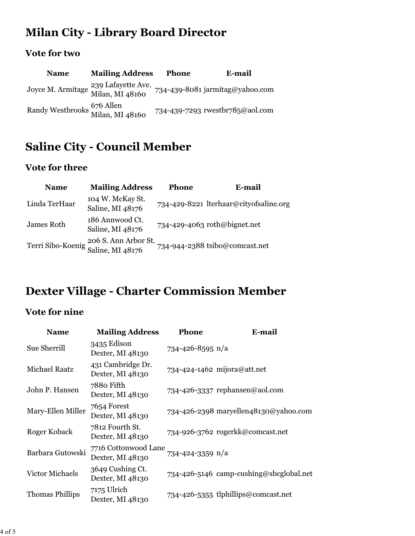# **Milan City - Library Board Director**

### **Vote for two**

| <b>Name</b>                                   | <b>Mailing Address</b>                                  | <b>Phone</b> | E-mail                          |
|-----------------------------------------------|---------------------------------------------------------|--------------|---------------------------------|
|                                               | Joyce M. Armitage 239 Lafayette Ave.<br>Milan, MI 48160 |              | 734-439-8081 jarmitag@yahoo.com |
| Randy Westbrooks 676 Allen<br>Milan, MI 48160 |                                                         |              | 734-439-7293 rwestbr785@aol.com |

### **Saline City - Council Member**

### **Vote for three**

| <b>Name</b>   | <b>Mailing Address</b>                                     | <b>Phone</b> | E-mail                                 |
|---------------|------------------------------------------------------------|--------------|----------------------------------------|
| Linda TerHaar | 104 W. McKay St.<br>Saline, MI 48176                       |              | 734-429-8221 lterhaar@cityofsaline.org |
| James Roth    | 186 Annwood Ct.<br>Saline, MI 48176                        |              | 734-429-4063 roth@bignet.net           |
|               | Terri Sibo-Koenig 206 S. Ann Arbor St.<br>Saline, MI 48176 |              | 734-944-2388 tsibo@comcast.net         |

# **Dexter Village - Charter Commission Member**

### **Vote for nine**

| <b>Name</b>            | <b>Mailing Address</b>                   | <b>Phone</b>       | E-mail                                  |
|------------------------|------------------------------------------|--------------------|-----------------------------------------|
| Sue Sherrill           | 3435 Edison<br>Dexter, MI 48130          | 734-426-8595 $n/a$ |                                         |
| <b>Michael Raatz</b>   | 431 Cambridge Dr.<br>Dexter, MI 48130    |                    | 734-424-1462 mijora@att.net             |
| John P. Hansen         | 7880 Fifth<br>Dexter, MI 48130           |                    | 734-426-3337 rephansen@aol.com          |
| Mary-Ellen Miller      | 7654 Forest<br>Dexter, MI 48130          |                    | 734-426-2398 maryellen48130@yahoo.com   |
| Roger Koback           | 7812 Fourth St.<br>Dexter, MI 48130      |                    | 734-926-3762 rogerkk@comcast.net        |
| Barbara Gutowski       | 7716 Cottonwood Lane<br>Dexter, MI 48130 | 734-424-3359 n/a   |                                         |
| Victor Michaels        | 3649 Cushing Ct.<br>Dexter, MI 48130     |                    | 734-426-5146 camp-cushing@sbcglobal.net |
| <b>Thomas Phillips</b> | 7175 Ulrich<br>Dexter, MI 48130          |                    | 734-426-5355 tlphillips@comcast.net     |